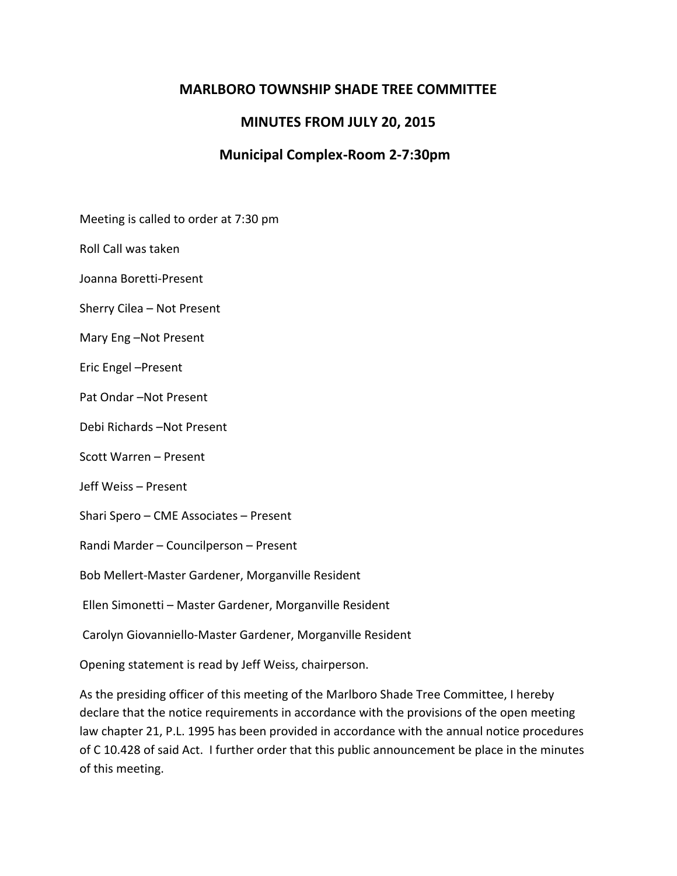# **MARLBORO TOWNSHIP SHADE TREE COMMITTEE**

## **MINUTES FROM JULY 20, 2015**

# **Municipal Complex-Room 2-7:30pm**

Meeting is called to order at 7:30 pm

Roll Call was taken

Joanna Boretti-Present

Sherry Cilea – Not Present

Mary Eng –Not Present

Eric Engel –Present

Pat Ondar –Not Present

Debi Richards –Not Present

Scott Warren – Present

Jeff Weiss – Present

Shari Spero – CME Associates – Present

Randi Marder – Councilperson – Present

Bob Mellert-Master Gardener, Morganville Resident

Ellen Simonetti – Master Gardener, Morganville Resident

Carolyn Giovanniello-Master Gardener, Morganville Resident

Opening statement is read by Jeff Weiss, chairperson.

As the presiding officer of this meeting of the Marlboro Shade Tree Committee, I hereby declare that the notice requirements in accordance with the provisions of the open meeting law chapter 21, P.L. 1995 has been provided in accordance with the annual notice procedures of C 10.428 of said Act. I further order that this public announcement be place in the minutes of this meeting.